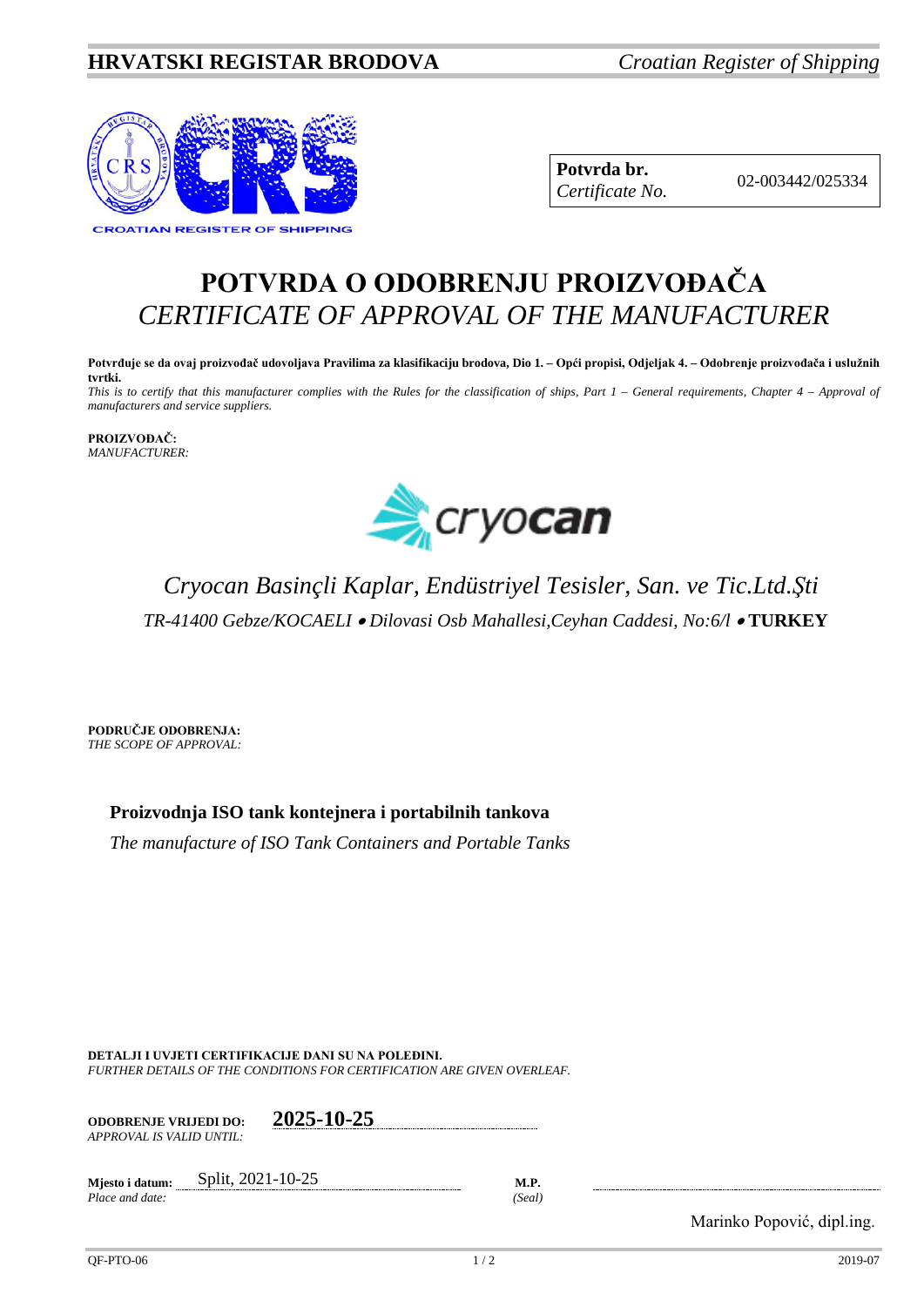### **HRVATSKI REGISTAR BRODOVA** *Croatian Register of Shipping*



**Potvrda br.** 02-003442/025334 *Certificate No.*

# **POTVRDA O ODOBRENJU PROIZVOĐAČA** *CERTIFICATE OF APPROVAL OF THE MANUFACTURER*

**Potvrđuje se da ovaj proizvođač udovoljava Pravilima za klasifikaciju brodova, Dio 1. – Opći propisi, Odjeljak 4. – Odobrenje proizvođača i uslužnih tvrtki.** *This is to certify that this manufacturer complies with the Rules for the classification of ships, Part 1 – General requirements, Chapter 4 – Approval of manufacturers and service suppliers.*

**PROIZVOĐAČ:** *MANUFACTURER:*



## *Cryocan Basinçli Kaplar, Endüstriyel Tesisler, San. ve Tic.Ltd.Şti TR-41400 Gebze/KOCAELI* • *Dilovasi Osb Mahallesi,Ceyhan Caddesi, No:6/l* • **TURKEY**

**PODRUČJE ODOBRENJA:** *THE SCOPE OF APPROVAL:*

**Proizvodnja ISO tank kontejnera i portabilnih tankova**

*The manufacture of ISO Tank Containers and Portable Tanks*

**DETALJI I UVJETI CERTIFIKACIJE DANI SU NA POLEĐINI.** *FURTHER DETAILS OF THE CONDITIONS FOR CERTIFICATION ARE GIVEN OVERLEAF.*

| <b>ODOBRENJE VRLJEDI DO:</b> | 2025-10-25 |  |
|------------------------------|------------|--|
| APPROVAL IS VALID UNTIL:-    |            |  |
|                              |            |  |

**Mjesto i datum:** Split, 2021-10-25 **M.P.** *Place and date: (Seal)*

Marinko Popović, dipl.ing.